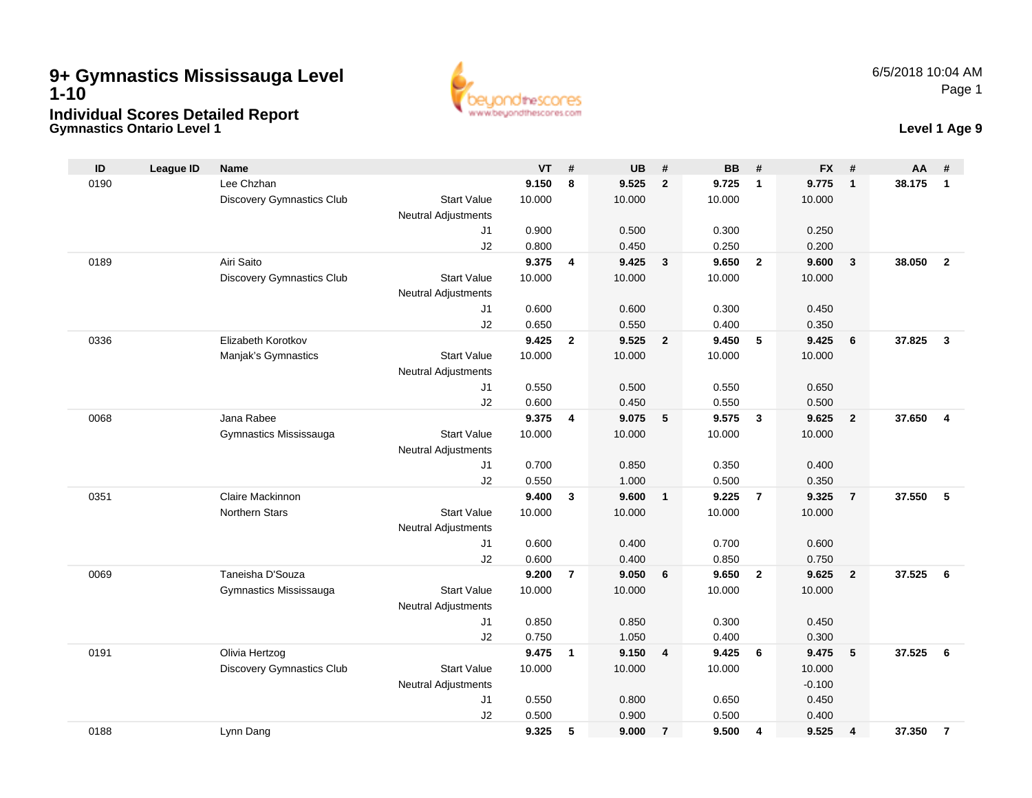## **Gymnastics Ontario Level 1 Level 1 Age 9 9+ Gymnastics Mississauga Level 1-10Individual Scores Detailed Report**



| ID   | <b>League ID</b> | <b>Name</b>                      |                            | <b>VT</b> | #              | <b>UB</b> | #                       | <b>BB</b> | #              | <b>FX</b> | #              | AA     | #                       |
|------|------------------|----------------------------------|----------------------------|-----------|----------------|-----------|-------------------------|-----------|----------------|-----------|----------------|--------|-------------------------|
| 0190 |                  | Lee Chzhan                       |                            | 9.150     | 8              | 9.525     | $\overline{2}$          | 9.725     | $\mathbf{1}$   | 9.775     | $\mathbf{1}$   | 38.175 | $\mathbf{1}$            |
|      |                  | <b>Discovery Gymnastics Club</b> | <b>Start Value</b>         | 10.000    |                | 10.000    |                         | 10.000    |                | 10.000    |                |        |                         |
|      |                  |                                  | <b>Neutral Adjustments</b> |           |                |           |                         |           |                |           |                |        |                         |
|      |                  |                                  | J1                         | 0.900     |                | 0.500     |                         | 0.300     |                | 0.250     |                |        |                         |
|      |                  |                                  | J2                         | 0.800     |                | 0.450     |                         | 0.250     |                | 0.200     |                |        |                         |
| 0189 |                  | Airi Saito                       |                            | 9.375     | 4              | 9.425     | $\mathbf{3}$            | 9.650     | $\overline{2}$ | 9.600     | $\mathbf{3}$   | 38.050 | $\overline{2}$          |
|      |                  | <b>Discovery Gymnastics Club</b> | <b>Start Value</b>         | 10.000    |                | 10.000    |                         | 10.000    |                | 10.000    |                |        |                         |
|      |                  |                                  | <b>Neutral Adjustments</b> |           |                |           |                         |           |                |           |                |        |                         |
|      |                  |                                  | J1                         | 0.600     |                | 0.600     |                         | 0.300     |                | 0.450     |                |        |                         |
|      |                  |                                  | J2                         | 0.650     |                | 0.550     |                         | 0.400     |                | 0.350     |                |        |                         |
| 0336 |                  | Elizabeth Korotkov               |                            | 9.425     | $\mathbf{2}$   | 9.525     | $\overline{2}$          | 9.450     | 5              | 9.425     | 6              | 37.825 | $\mathbf{3}$            |
|      |                  | Manjak's Gymnastics              | <b>Start Value</b>         | 10.000    |                | 10.000    |                         | 10.000    |                | 10.000    |                |        |                         |
|      |                  |                                  | <b>Neutral Adjustments</b> |           |                |           |                         |           |                |           |                |        |                         |
|      |                  |                                  | J1                         | 0.550     |                | 0.500     |                         | 0.550     |                | 0.650     |                |        |                         |
|      |                  |                                  | J2                         | 0.600     |                | 0.450     |                         | 0.550     |                | 0.500     |                |        |                         |
| 0068 |                  | Jana Rabee                       |                            | 9.375     | 4              | 9.075     | 5                       | 9.575     | $\mathbf{3}$   | 9.625     | $\overline{2}$ | 37.650 | $\overline{\mathbf{4}}$ |
|      |                  | Gymnastics Mississauga           | <b>Start Value</b>         | 10.000    |                | 10.000    |                         | 10.000    |                | 10.000    |                |        |                         |
|      |                  |                                  | <b>Neutral Adjustments</b> |           |                |           |                         |           |                |           |                |        |                         |
|      |                  |                                  | J1                         | 0.700     |                | 0.850     |                         | 0.350     |                | 0.400     |                |        |                         |
|      |                  |                                  | J2                         | 0.550     |                | 1.000     |                         | 0.500     |                | 0.350     |                |        |                         |
| 0351 |                  | Claire Mackinnon                 |                            | 9.400     | 3              | 9.600     | $\overline{\mathbf{1}}$ | 9.225     | $\overline{7}$ | 9.325     | $\overline{7}$ | 37.550 | 5                       |
|      |                  | <b>Northern Stars</b>            | <b>Start Value</b>         | 10.000    |                | 10.000    |                         | 10.000    |                | 10.000    |                |        |                         |
|      |                  |                                  | <b>Neutral Adjustments</b> |           |                |           |                         |           |                |           |                |        |                         |
|      |                  |                                  | J1                         | 0.600     |                | 0.400     |                         | 0.700     |                | 0.600     |                |        |                         |
|      |                  |                                  | J2                         | 0.600     |                | 0.400     |                         | 0.850     |                | 0.750     |                |        |                         |
| 0069 |                  | Taneisha D'Souza                 |                            | 9.200     | $\overline{7}$ | 9.050     | 6                       | 9.650     | $\overline{2}$ | 9.625     | $\overline{2}$ | 37.525 | 6                       |
|      |                  | Gymnastics Mississauga           | <b>Start Value</b>         | 10.000    |                | 10.000    |                         | 10.000    |                | 10.000    |                |        |                         |
|      |                  |                                  | <b>Neutral Adjustments</b> |           |                |           |                         |           |                |           |                |        |                         |
|      |                  |                                  | J1                         | 0.850     |                | 0.850     |                         | 0.300     |                | 0.450     |                |        |                         |
|      |                  |                                  | J2                         | 0.750     |                | 1.050     |                         | 0.400     |                | 0.300     |                |        |                         |
| 0191 |                  | Olivia Hertzog                   |                            | 9.475     | $\mathbf{1}$   | 9.150     | 4                       | 9.425     | 6              | 9.475     | 5              | 37.525 | 6                       |
|      |                  | <b>Discovery Gymnastics Club</b> | <b>Start Value</b>         | 10.000    |                | 10.000    |                         | 10.000    |                | 10.000    |                |        |                         |
|      |                  |                                  | <b>Neutral Adjustments</b> |           |                |           |                         |           |                | $-0.100$  |                |        |                         |
|      |                  |                                  | J1                         | 0.550     |                | 0.800     |                         | 0.650     |                | 0.450     |                |        |                         |
|      |                  |                                  | J2                         | 0.500     |                | 0.900     |                         | 0.500     |                | 0.400     |                |        |                         |
| 0188 |                  | Lynn Dang                        |                            | 9.325     | 5              | 9.000     | $\overline{7}$          | 9.500     | 4              | 9.525     | 4              | 37.350 | $\overline{7}$          |